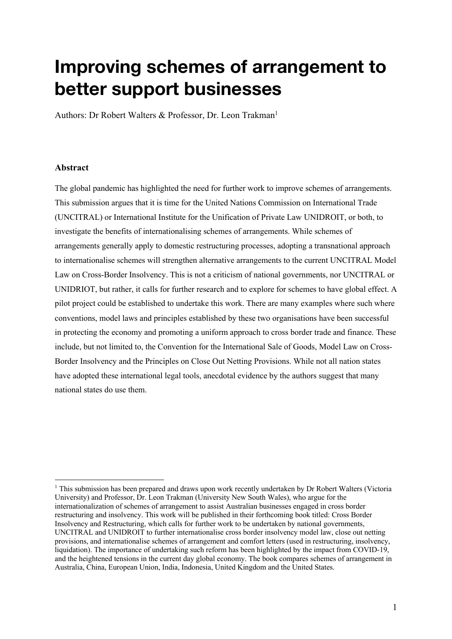# **Improving schemes of arrangement to better support businesses**

Authors: Dr Robert Walters & Professor, Dr. Leon Trakman<sup>1</sup>

#### **Abstract**

The global pandemic has highlighted the need for further work to improve schemes of arrangements. This submission argues that it is time for the United Nations Commission on International Trade (UNCITRAL) or International Institute for the Unification of Private Law UNIDROIT, or both, to investigate the benefits of internationalising schemes of arrangements. While schemes of arrangements generally apply to domestic restructuring processes, adopting a transnational approach to internationalise schemes will strengthen alternative arrangements to the current UNCITRAL Model Law on Cross-Border Insolvency. This is not a criticism of national governments, nor UNCITRAL or UNIDRIOT, but rather, it calls for further research and to explore for schemes to have global effect. A pilot project could be established to undertake this work. There are many examples where such where conventions, model laws and principles established by these two organisations have been successful in protecting the economy and promoting a uniform approach to cross border trade and finance. These include, but not limited to, the Convention for the International Sale of Goods, Model Law on Cross-Border Insolvency and the Principles on Close Out Netting Provisions. While not all nation states have adopted these international legal tools, anecdotal evidence by the authors suggest that many national states do use them.

<sup>&</sup>lt;sup>1</sup> This submission has been prepared and draws upon work recently undertaken by Dr Robert Walters (Victoria University) and Professor, Dr. Leon Trakman (University New South Wales), who argue for the internationalization of schemes of arrangement to assist Australian businesses engaged in cross border restructuring and insolvency. This work will be published in their forthcoming book titled: Cross Border Insolvency and Restructuring, which calls for further work to be undertaken by national governments, UNCITRAL and UNIDROIT to further internationalise cross border insolvency model law, close out netting provisions, and internationalise schemes of arrangement and comfort letters (used in restructuring, insolvency, liquidation). The importance of undertaking such reform has been highlighted by the impact from COVID-19, and the heightened tensions in the current day global economy. The book compares schemes of arrangement in Australia, China, European Union, India, Indonesia, United Kingdom and the United States.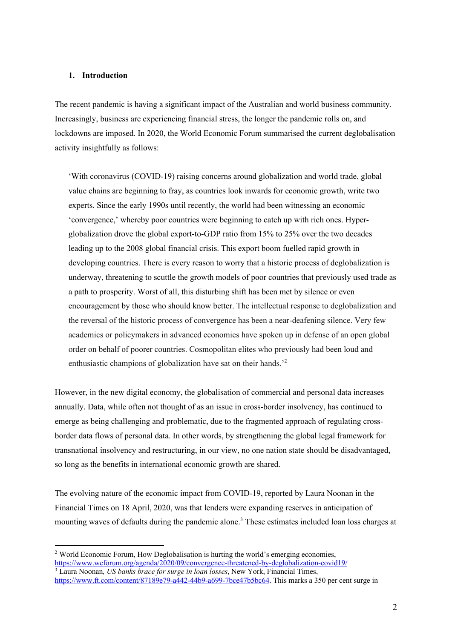# **1. Introduction**

The recent pandemic is having a significant impact of the Australian and world business community. Increasingly, business are experiencing financial stress, the longer the pandemic rolls on, and lockdowns are imposed. In 2020, the World Economic Forum summarised the current deglobalisation activity insightfully as follows:

'With coronavirus (COVID-19) raising concerns around globalization and world trade, global value chains are beginning to fray, as countries look inwards for economic growth, write two experts. Since the early 1990s until recently, the world had been witnessing an economic 'convergence,' whereby poor countries were beginning to catch up with rich ones. Hyperglobalization drove the global export-to-GDP ratio from 15% to 25% over the two decades leading up to the 2008 global financial crisis. This export boom fuelled rapid growth in developing countries. There is every reason to worry that a historic process of deglobalization is underway, threatening to scuttle the growth models of poor countries that previously used trade as a path to prosperity. Worst of all, this disturbing shift has been met by silence or even encouragement by those who should know better. The intellectual response to deglobalization and the reversal of the historic process of convergence has been a near-deafening silence. Very few academics or policymakers in advanced economies have spoken up in defense of an open global order on behalf of poorer countries. Cosmopolitan elites who previously had been loud and enthusiastic champions of globalization have sat on their hands.<sup>2</sup>

However, in the new digital economy, the globalisation of commercial and personal data increases annually. Data, while often not thought of as an issue in cross-border insolvency, has continued to emerge as being challenging and problematic, due to the fragmented approach of regulating crossborder data flows of personal data. In other words, by strengthening the global legal framework for transnational insolvency and restructuring, in our view, no one nation state should be disadvantaged, so long as the benefits in international economic growth are shared.

The evolving nature of the economic impact from COVID-19, reported by Laura Noonan in the Financial Times on 18 April, 2020, was that lenders were expanding reserves in anticipation of mounting waves of defaults during the pandemic alone.<sup>3</sup> These estimates included loan loss charges at

<sup>&</sup>lt;sup>2</sup> World Economic Forum, How Deglobalisation is hurting the world's emerging economies, https://www.weforum.org/agenda/2020/09/convergence-threatened-by-deglobalization-covid19/ <sup>3</sup> Laura Noonan*, US banks brace for surge in loan losses*, New York, Financial Times,

https://www.ft.com/content/87189e79-a442-44b9-a699-7bce47b5bc64. This marks a 350 per cent surge in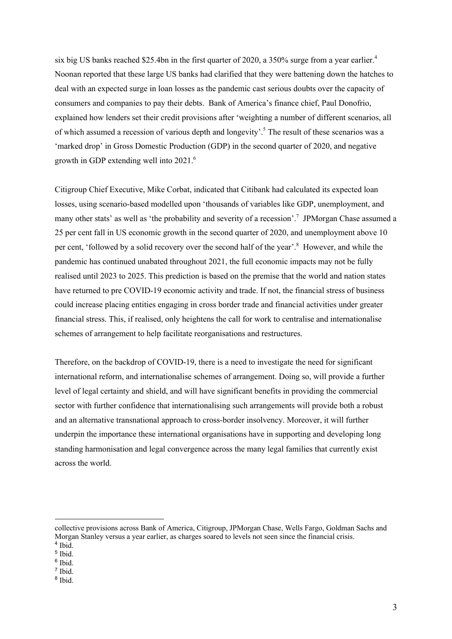six big US banks reached \$25.4bn in the first quarter of 2020, a 350% surge from a year earlier.<sup>4</sup> Noonan reported that these large US banks had clarified that they were battening down the hatches to deal with an expected surge in loan losses as the pandemic cast serious doubts over the capacity of consumers and companies to pay their debts. Bank of America's finance chief, Paul Donofrio, explained how lenders set their credit provisions after 'weighting a number of different scenarios, all of which assumed a recession of various depth and longevity'. <sup>5</sup> The result of these scenarios was a 'marked drop' in Gross Domestic Production (GDP) in the second quarter of 2020, and negative growth in GDP extending well into 2021.<sup>6</sup>

Citigroup Chief Executive, Mike Corbat, indicated that Citibank had calculated its expected loan losses, using scenario-based modelled upon 'thousands of variables like GDP, unemployment, and many other stats' as well as 'the probability and severity of a recession'.<sup>7</sup> JPMorgan Chase assumed a 25 per cent fall in US economic growth in the second quarter of 2020, and unemployment above 10 per cent, 'followed by a solid recovery over the second half of the year'.<sup>8</sup> However, and while the pandemic has continued unabated throughout 2021, the full economic impacts may not be fully realised until 2023 to 2025. This prediction is based on the premise that the world and nation states have returned to pre COVID-19 economic activity and trade. If not, the financial stress of business could increase placing entities engaging in cross border trade and financial activities under greater financial stress. This, if realised, only heightens the call for work to centralise and internationalise schemes of arrangement to help facilitate reorganisations and restructures.

Therefore, on the backdrop of COVID-19, there is a need to investigate the need for significant international reform, and internationalise schemes of arrangement. Doing so, will provide a further level of legal certainty and shield, and will have significant benefits in providing the commercial sector with further confidence that internationalising such arrangements will provide both a robust and an alternative transnational approach to cross-border insolvency. Moreover, it will further underpin the importance these international organisations have in supporting and developing long standing harmonisation and legal convergence across the many legal families that currently exist across the world.

collective provisions across Bank of America, Citigroup, JPMorgan Chase, Wells Fargo, Goldman Sachs and Morgan Stanley versus a year earlier, as charges soared to levels not seen since the financial crisis. <sup>4</sup> Ibid.

<sup>5</sup> Ibid.

 $6$  Ibid.

<sup>7</sup> Ibid.

<sup>8</sup> Ibid.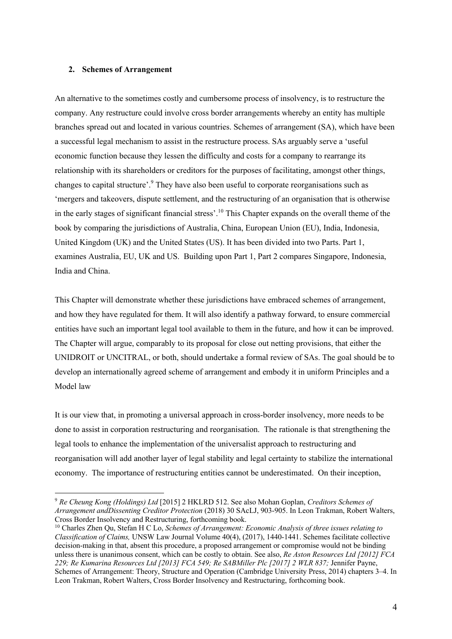## **2. Schemes of Arrangement**

An alternative to the sometimes costly and cumbersome process of insolvency, is to restructure the company. Any restructure could involve cross border arrangements whereby an entity has multiple branches spread out and located in various countries. Schemes of arrangement (SA), which have been a successful legal mechanism to assist in the restructure process. SAs arguably serve a 'useful economic function because they lessen the difficulty and costs for a company to rearrange its relationship with its shareholders or creditors for the purposes of facilitating, amongst other things, changes to capital structure'.<sup>9</sup> They have also been useful to corporate reorganisations such as 'mergers and takeovers, dispute settlement, and the restructuring of an organisation that is otherwise in the early stages of significant financial stress'.<sup>10</sup> This Chapter expands on the overall theme of the book by comparing the jurisdictions of Australia, China, European Union (EU), India, Indonesia, United Kingdom (UK) and the United States (US). It has been divided into two Parts. Part 1, examines Australia, EU, UK and US. Building upon Part 1, Part 2 compares Singapore, Indonesia, India and China.

This Chapter will demonstrate whether these jurisdictions have embraced schemes of arrangement, and how they have regulated for them. It will also identify a pathway forward, to ensure commercial entities have such an important legal tool available to them in the future, and how it can be improved. The Chapter will argue, comparably to its proposal for close out netting provisions, that either the UNIDROIT or UNCITRAL, or both, should undertake a formal review of SAs. The goal should be to develop an internationally agreed scheme of arrangement and embody it in uniform Principles and a Model law

It is our view that, in promoting a universal approach in cross-border insolvency, more needs to be done to assist in corporation restructuring and reorganisation. The rationale is that strengthening the legal tools to enhance the implementation of the universalist approach to restructuring and reorganisation will add another layer of legal stability and legal certainty to stabilize the international economy. The importance of restructuring entities cannot be underestimated. On their inception,

<sup>9</sup> *Re Cheung Kong (Holdings) Ltd* [2015] 2 HKLRD 512. See also Mohan Goplan, *Creditors Schemes of Arrangement andDissenting Creditor Protection* (2018) 30 SAcLJ, 903-905. In Leon Trakman, Robert Walters, Cross Border Insolvency and Restructuring, forthcoming book.

<sup>10</sup> Charles Zhen Qu, Stefan H C Lo, *Schemes of Arrangement: Economic Analysis of three issues relating to Classification of Claims,* UNSW Law Journal Volume 40(4), (2017), 1440-1441. Schemes facilitate collective decision-making in that, absent this procedure, a proposed arrangement or compromise would not be binding unless there is unanimous consent, which can be costly to obtain. See also, *Re Aston Resources Ltd [2012] FCA 229; Re Kumarina Resources Ltd [2013] FCA 549; Re SABMiller Plc [2017] 2 WLR 837;* Jennifer Payne, Schemes of Arrangement: Theory, Structure and Operation (Cambridge University Press, 2014) chapters 3–4. In Leon Trakman, Robert Walters, Cross Border Insolvency and Restructuring, forthcoming book.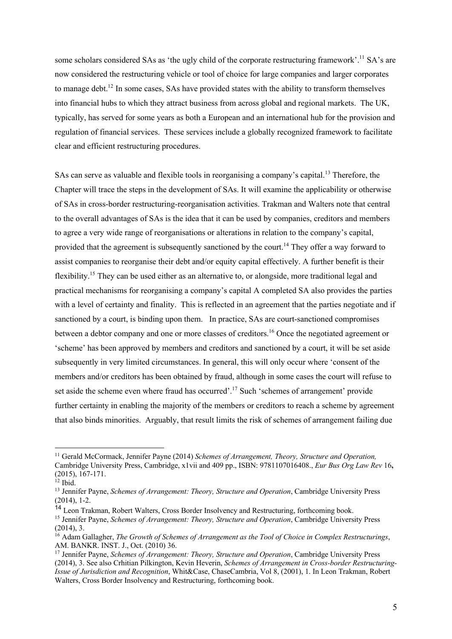some scholars considered SAs as 'the ugly child of the corporate restructuring framework'.<sup>11</sup> SA's are now considered the restructuring vehicle or tool of choice for large companies and larger corporates to manage debt.<sup>12</sup> In some cases, SAs have provided states with the ability to transform themselves into financial hubs to which they attract business from across global and regional markets. The UK, typically, has served for some years as both a European and an international hub for the provision and regulation of financial services. These services include a globally recognized framework to facilitate clear and efficient restructuring procedures.

SAs can serve as valuable and flexible tools in reorganising a company's capital.<sup>13</sup> Therefore, the Chapter will trace the steps in the development of SAs. It will examine the applicability or otherwise of SAs in cross-border restructuring-reorganisation activities. Trakman and Walters note that central to the overall advantages of SAs is the idea that it can be used by companies, creditors and members to agree a very wide range of reorganisations or alterations in relation to the company's capital, provided that the agreement is subsequently sanctioned by the court.<sup>14</sup> They offer a way forward to assist companies to reorganise their debt and/or equity capital effectively. A further benefit is their flexibility.15 They can be used either as an alternative to, or alongside, more traditional legal and practical mechanisms for reorganising a company's capital A completed SA also provides the parties with a level of certainty and finality. This is reflected in an agreement that the parties negotiate and if sanctioned by a court, is binding upon them. In practice, SAs are court-sanctioned compromises between a debtor company and one or more classes of creditors.<sup>16</sup> Once the negotiated agreement or 'scheme' has been approved by members and creditors and sanctioned by a court, it will be set aside subsequently in very limited circumstances. In general, this will only occur where 'consent of the members and/or creditors has been obtained by fraud, although in some cases the court will refuse to set aside the scheme even where fraud has occurred'.<sup>17</sup> Such 'schemes of arrangement' provide further certainty in enabling the majority of the members or creditors to reach a scheme by agreement that also binds minorities. Arguably, that result limits the risk of schemes of arrangement failing due

<sup>11</sup> Gerald McCormack, Jennifer Payne (2014) *Schemes of Arrangement, Theory, Structure and Operation,* Cambridge University Press, Cambridge, x1vii and 409 pp., ISBN: 9781107016408., *Eur Bus Org Law Rev* 16**,**  (2015), 167-171.

 $12$  Ibid.

<sup>13</sup> Jennifer Payne, *Schemes of Arrangement: Theory, Structure and Operation*, Cambridge University Press (2014), 1-2.

<sup>14</sup> Leon Trakman, Robert Walters, Cross Border Insolvency and Restructuring, forthcoming book.

<sup>15</sup> Jennifer Payne, *Schemes of Arrangement: Theory, Structure and Operation*, Cambridge University Press (2014), 3.

<sup>16</sup> Adam Gallagher, *The Growth of Schemes of Arrangement as the Tool of Choice in Complex Restructurings*, AM. BANKR. INST. J., Oct. (2010) 36.

<sup>17</sup> Jennifer Payne, *Schemes of Arrangement: Theory, Structure and Operation*, Cambridge University Press (2014), 3. See also Crhitian Pilkington, Kevin Heverin, *Schemes of Arrangement in Cross-border Restructuring-Issue of Jurisdiction and Recognition*, Whit&Case, ChaseCambria, Vol 8, (2001), 1. In Leon Trakman, Robert Walters, Cross Border Insolvency and Restructuring, forthcoming book.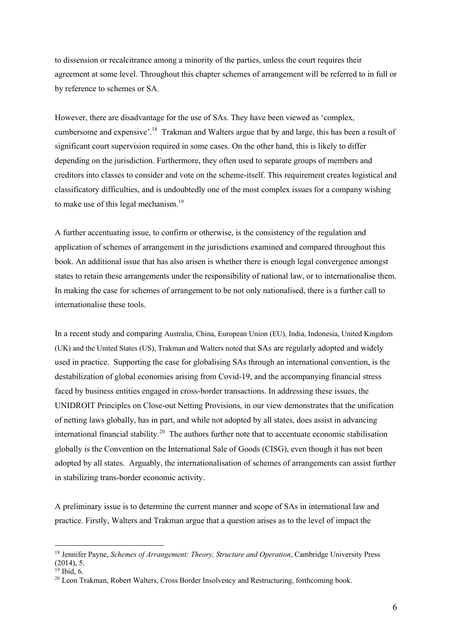to dissension or recalcitrance among a minority of the parties, unless the court requires their agreement at some level. Throughout this chapter schemes of arrangement will be referred to in full or by reference to schemes or SA.

However, there are disadvantage for the use of SAs. They have been viewed as 'complex, cumbersome and expensive'.<sup>18</sup> Trakman and Walters argue that by and large, this has been a result of significant court supervision required in some cases. On the other hand, this is likely to differ depending on the jurisdiction. Furthermore, they often used to separate groups of members and creditors into classes to consider and vote on the scheme-itself. This requirement creates logistical and classificatory difficulties, and is undoubtedly one of the most complex issues for a company wishing to make use of this legal mechanism.<sup>19</sup>

A further accentuating issue, to confirm or otherwise, is the consistency of the regulation and application of schemes of arrangement in the jurisdictions examined and compared throughout this book. An additional issue that has also arisen is whether there is enough legal convergence amongst states to retain these arrangements under the responsibility of national law, or to internationalise them. In making the case for schemes of arrangement to be not only nationalised, there is a further call to internationalise these tools.

In a recent study and comparing Australia, China, European Union (EU), India, Indonesia, United Kingdom (UK) and the United States (US), Trakman and Walters noted that SAs are regularly adopted and widely used in practice. Supporting the case for globalising SAs through an international convention, is the destabilization of global economies arising from Covid-19, and the accompanying financial stress faced by business entities engaged in cross-border transactions. In addressing these issues, the UNIDROIT Principles on Close-out Netting Provisions, in our view demonstrates that the unification of netting laws globally, has in part, and while not adopted by all states, does assist in advancing international financial stability.<sup>20</sup> The authors further note that to accentuate economic stabilisation globally is the Convention on the International Sale of Goods (CISG), even though it has not been adopted by all states. Arguably, the internationalisation of schemes of arrangements can assist further in stabilizing trans-border economic activity.

A preliminary issue is to determine the current manner and scope of SAs in international law and practice. Firstly, Walters and Trakman argue that a question arises as to the level of impact the

<sup>18</sup> Jennifer Payne, *Schemes of Arrangement: Theory, Structure and Operation*, Cambridge University Press  $(2014)$ , 5.

 $19$  Ibid. 6.

<sup>&</sup>lt;sup>20</sup> Leon Trakman, Robert Walters, Cross Border Insolvency and Restructuring, forthcoming book.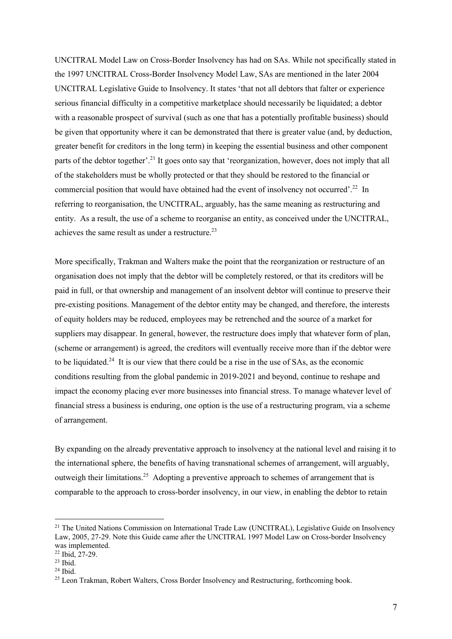UNCITRAL Model Law on Cross-Border Insolvency has had on SAs. While not specifically stated in the 1997 UNCITRAL Cross-Border Insolvency Model Law, SAs are mentioned in the later 2004 UNCITRAL Legislative Guide to Insolvency. It states 'that not all debtors that falter or experience serious financial difficulty in a competitive marketplace should necessarily be liquidated; a debtor with a reasonable prospect of survival (such as one that has a potentially profitable business) should be given that opportunity where it can be demonstrated that there is greater value (and, by deduction, greater benefit for creditors in the long term) in keeping the essential business and other component parts of the debtor together'.<sup>21</sup> It goes onto say that 'reorganization, however, does not imply that all of the stakeholders must be wholly protected or that they should be restored to the financial or commercial position that would have obtained had the event of insolvency not occurred'.<sup>22</sup> In referring to reorganisation, the UNCITRAL, arguably, has the same meaning as restructuring and entity. As a result, the use of a scheme to reorganise an entity, as conceived under the UNCITRAL, achieves the same result as under a restructure. $^{23}$ 

More specifically, Trakman and Walters make the point that the reorganization or restructure of an organisation does not imply that the debtor will be completely restored, or that its creditors will be paid in full, or that ownership and management of an insolvent debtor will continue to preserve their pre-existing positions. Management of the debtor entity may be changed, and therefore, the interests of equity holders may be reduced, employees may be retrenched and the source of a market for suppliers may disappear. In general, however, the restructure does imply that whatever form of plan, (scheme or arrangement) is agreed, the creditors will eventually receive more than if the debtor were to be liquidated.<sup>24</sup> It is our view that there could be a rise in the use of SAs, as the economic conditions resulting from the global pandemic in 2019-2021 and beyond, continue to reshape and impact the economy placing ever more businesses into financial stress. To manage whatever level of financial stress a business is enduring, one option is the use of a restructuring program, via a scheme of arrangement.

By expanding on the already preventative approach to insolvency at the national level and raising it to the international sphere, the benefits of having transnational schemes of arrangement, will arguably, outweigh their limitations.<sup>25</sup> Adopting a preventive approach to schemes of arrangement that is comparable to the approach to cross-border insolvency, in our view, in enabling the debtor to retain

<sup>&</sup>lt;sup>21</sup> The United Nations Commission on International Trade Law (UNCITRAL), Legislative Guide on Insolvency Law, 2005, 27-29. Note this Guide came after the UNCITRAL 1997 Model Law on Cross-border Insolvency was implemented.

 $22$  Ibid.  $27-29$ .

 $23$  Ibid.

 $24$  Ibid.

<sup>&</sup>lt;sup>25</sup> Leon Trakman, Robert Walters, Cross Border Insolvency and Restructuring, forthcoming book.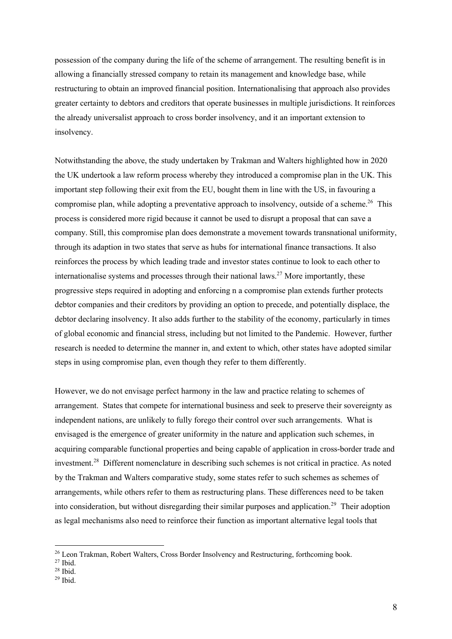possession of the company during the life of the scheme of arrangement. The resulting benefit is in allowing a financially stressed company to retain its management and knowledge base, while restructuring to obtain an improved financial position. Internationalising that approach also provides greater certainty to debtors and creditors that operate businesses in multiple jurisdictions. It reinforces the already universalist approach to cross border insolvency, and it an important extension to insolvency.

Notwithstanding the above, the study undertaken by Trakman and Walters highlighted how in 2020 the UK undertook a law reform process whereby they introduced a compromise plan in the UK. This important step following their exit from the EU, bought them in line with the US, in favouring a compromise plan, while adopting a preventative approach to insolvency, outside of a scheme.<sup>26</sup> This process is considered more rigid because it cannot be used to disrupt a proposal that can save a company. Still, this compromise plan does demonstrate a movement towards transnational uniformity, through its adaption in two states that serve as hubs for international finance transactions. It also reinforces the process by which leading trade and investor states continue to look to each other to internationalise systems and processes through their national laws.<sup>27</sup> More importantly, these progressive steps required in adopting and enforcing n a compromise plan extends further protects debtor companies and their creditors by providing an option to precede, and potentially displace, the debtor declaring insolvency. It also adds further to the stability of the economy, particularly in times of global economic and financial stress, including but not limited to the Pandemic. However, further research is needed to determine the manner in, and extent to which, other states have adopted similar steps in using compromise plan, even though they refer to them differently.

However, we do not envisage perfect harmony in the law and practice relating to schemes of arrangement. States that compete for international business and seek to preserve their sovereignty as independent nations, are unlikely to fully forego their control over such arrangements. What is envisaged is the emergence of greater uniformity in the nature and application such schemes, in acquiring comparable functional properties and being capable of application in cross-border trade and investment.28 Different nomenclature in describing such schemes is not critical in practice. As noted by the Trakman and Walters comparative study, some states refer to such schemes as schemes of arrangements, while others refer to them as restructuring plans. These differences need to be taken into consideration, but without disregarding their similar purposes and application.<sup>29</sup> Their adoption as legal mechanisms also need to reinforce their function as important alternative legal tools that

<sup>&</sup>lt;sup>26</sup> Leon Trakman, Robert Walters, Cross Border Insolvency and Restructuring, forthcoming book.

 $27$  Ibid.

 $28$  Ibid.

 $29$  Ihid.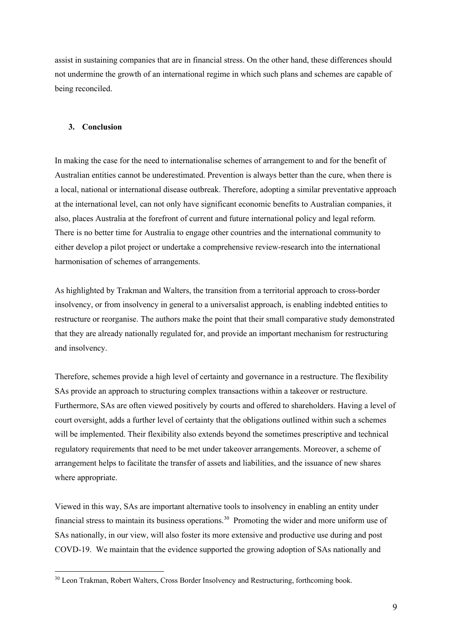assist in sustaining companies that are in financial stress. On the other hand, these differences should not undermine the growth of an international regime in which such plans and schemes are capable of being reconciled.

### **3. Conclusion**

In making the case for the need to internationalise schemes of arrangement to and for the benefit of Australian entities cannot be underestimated. Prevention is always better than the cure, when there is a local, national or international disease outbreak. Therefore, adopting a similar preventative approach at the international level, can not only have significant economic benefits to Australian companies, it also, places Australia at the forefront of current and future international policy and legal reform. There is no better time for Australia to engage other countries and the international community to either develop a pilot project or undertake a comprehensive review-research into the international harmonisation of schemes of arrangements.

As highlighted by Trakman and Walters, the transition from a territorial approach to cross-border insolvency, or from insolvency in general to a universalist approach, is enabling indebted entities to restructure or reorganise. The authors make the point that their small comparative study demonstrated that they are already nationally regulated for, and provide an important mechanism for restructuring and insolvency.

Therefore, schemes provide a high level of certainty and governance in a restructure. The flexibility SAs provide an approach to structuring complex transactions within a takeover or restructure. Furthermore, SAs are often viewed positively by courts and offered to shareholders. Having a level of court oversight, adds a further level of certainty that the obligations outlined within such a schemes will be implemented. Their flexibility also extends beyond the sometimes prescriptive and technical regulatory requirements that need to be met under takeover arrangements. Moreover, a scheme of arrangement helps to facilitate the transfer of assets and liabilities, and the issuance of new shares where appropriate.

Viewed in this way, SAs are important alternative tools to insolvency in enabling an entity under financial stress to maintain its business operations.<sup>30</sup> Promoting the wider and more uniform use of SAs nationally, in our view, will also foster its more extensive and productive use during and post COVD-19. We maintain that the evidence supported the growing adoption of SAs nationally and

<sup>&</sup>lt;sup>30</sup> Leon Trakman, Robert Walters, Cross Border Insolvency and Restructuring, forthcoming book.